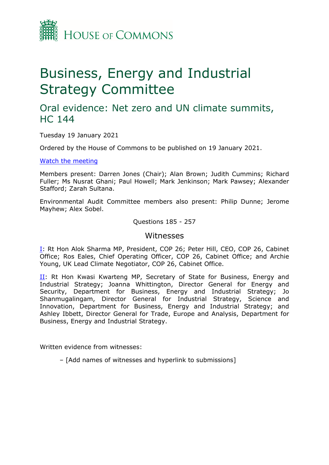

# Business, Energy and Industrial Strategy Committee

## Oral evidence: Net zero and UN climate summits, HC 144

Tuesday 19 January 2021

Ordered by the House of Commons to be published on 19 January 2021.

[Watch](https://parliamentlive.tv/Event/Index/4fcb3791-2cf3-4e43-b766-30cb007fb58c) [the](https://parliamentlive.tv/Event/Index/4fcb3791-2cf3-4e43-b766-30cb007fb58c) [meeting](https://parliamentlive.tv/Event/Index/4fcb3791-2cf3-4e43-b766-30cb007fb58c)

Members present: Darren Jones (Chair); Alan Brown; Judith Cummins; Richard Fuller; Ms Nusrat Ghani; Paul Howell; Mark Jenkinson; Mark Pawsey; Alexander Stafford; Zarah Sultana.

Environmental Audit Committee members also present: Philip Dunne; Jerome Mayhew; Alex Sobel.

Questions 185 - 257

### Witnesses

[I:](#page-1-0) Rt Hon Alok Sharma MP, President, COP 26; Peter Hill, CEO, COP 26, Cabinet Office; Ros Eales, Chief Operating Officer, COP 26, Cabinet Office; and Archie Young, UK Lead Climate Negotiator, COP 26, Cabinet Office.

[II](#page-18-0): Rt Hon Kwasi Kwarteng MP, Secretary of State for Business, Energy and Industrial Strategy; Joanna Whittington, Director General for Energy and Security, Department for Business, Energy and Industrial Strategy; Jo Shanmugalingam, Director General for Industrial Strategy, Science and Innovation, Department for Business, Energy and Industrial Strategy; and Ashley Ibbett, Director General for Trade, Europe and Analysis, Department for Business, Energy and Industrial Strategy.

Written evidence from witnesses:

– [Add names of witnesses and hyperlink to submissions]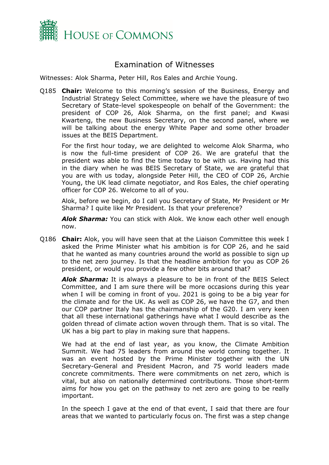

## Examination of Witnesses

<span id="page-1-0"></span>Witnesses: Alok Sharma, Peter Hill, Ros Eales and Archie Young.

Q185 **Chair:** Welcome to this morning's session of the Business, Energy and Industrial Strategy Select Committee, where we have the pleasure of two Secretary of State-level spokespeople on behalf of the Government: the president of COP 26, Alok Sharma, on the first panel; and Kwasi Kwarteng, the new Business Secretary, on the second panel, where we will be talking about the energy White Paper and some other broader issues at the BEIS Department.

For the first hour today, we are delighted to welcome Alok Sharma, who is now the full-time president of COP 26. We are grateful that the president was able to find the time today to be with us. Having had this in the diary when he was BEIS Secretary of State, we are grateful that you are with us today, alongside Peter Hill, the CEO of COP 26, Archie Young, the UK lead climate negotiator, and Ros Eales, the chief operating officer for COP 26. Welcome to all of you.

Alok, before we begin, do I call you Secretary of State, Mr President or Mr Sharma? I quite like Mr President. Is that your preference?

*Alok Sharma:* You can stick with Alok. We know each other well enough now.

Q186 **Chair:** Alok, you will have seen that at the Liaison Committee this week I asked the Prime Minister what his ambition is for COP 26, and he said that he wanted as many countries around the world as possible to sign up to the net zero journey. Is that the headline ambition for you as COP 26 president, or would you provide a few other bits around that?

*Alok Sharma:* It is always a pleasure to be in front of the BEIS Select Committee, and I am sure there will be more occasions during this year when I will be coming in front of you. 2021 is going to be a big year for the climate and for the UK. As well as COP 26, we have the G7, and then our COP partner Italy has the chairmanship of the G20. I am very keen that all these international gatherings have what I would describe as the golden thread of climate action woven through them. That is so vital. The UK has a big part to play in making sure that happens.

We had at the end of last year, as you know, the Climate Ambition Summit. We had 75 leaders from around the world coming together. It was an event hosted by the Prime Minister together with the UN Secretary-General and President Macron, and 75 world leaders made concrete commitments. There were commitments on net zero, which is vital, but also on nationally determined contributions. Those short-term aims for how you get on the pathway to net zero are going to be really important.

In the speech I gave at the end of that event, I said that there are four areas that we wanted to particularly focus on. The first was a step change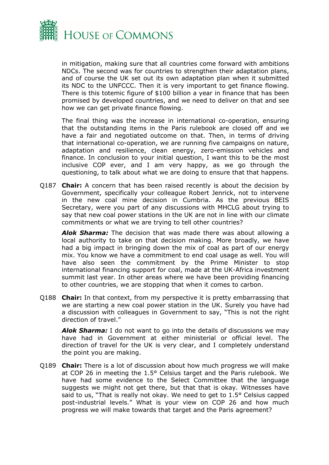

in mitigation, making sure that all countries come forward with ambitions NDCs. The second was for countries to strengthen their adaptation plans, and of course the UK set out its own adaptation plan when it submitted its NDC to the UNFCCC. Then it is very important to get finance flowing. There is this totemic figure of \$100 billion a year in finance that has been promised by developed countries, and we need to deliver on that and see how we can get private finance flowing.

The final thing was the increase in international co-operation, ensuring that the outstanding items in the Paris rulebook are closed off and we have a fair and negotiated outcome on that. Then, in terms of driving that international co-operation, we are running five campaigns on nature, adaptation and resilience, clean energy, zero-emission vehicles and finance. In conclusion to your initial question, I want this to be the most inclusive COP ever, and I am very happy, as we go through the questioning, to talk about what we are doing to ensure that that happens.

Q187 **Chair:** A concern that has been raised recently is about the decision by Government, specifically your colleague Robert Jenrick, not to intervene in the new coal mine decision in Cumbria. As the previous BEIS Secretary, were you part of any discussions with MHCLG about trying to say that new coal power stations in the UK are not in line with our climate commitments or what we are trying to tell other countries?

*Alok Sharma:* The decision that was made there was about allowing a local authority to take on that decision making. More broadly, we have had a big impact in bringing down the mix of coal as part of our energy mix. You know we have a commitment to end coal usage as well. You will have also seen the commitment by the Prime Minister to stop international financing support for coal, made at the UK-Africa investment summit last year. In other areas where we have been providing financing to other countries, we are stopping that when it comes to carbon.

Q188 **Chair:** In that context, from my perspective it is pretty embarrassing that we are starting a new coal power station in the UK. Surely you have had a discussion with colleagues in Government to say, "This is not the right direction of travel."

*Alok Sharma:* I do not want to go into the details of discussions we may have had in Government at either ministerial or official level. The direction of travel for the UK is very clear, and I completely understand the point you are making.

Q189 **Chair:** There is a lot of discussion about how much progress we will make at COP 26 in meeting the 1.5° Celsius target and the Paris rulebook. We have had some evidence to the Select Committee that the language suggests we might not get there, but that that is okay. Witnesses have said to us, "That is really not okay. We need to get to 1.5° Celsius capped post-industrial levels." What is your view on COP 26 and how much progress we will make towards that target and the Paris agreement?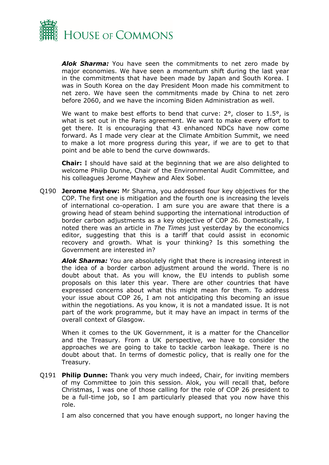

*Alok Sharma:* You have seen the commitments to net zero made by major economies. We have seen a momentum shift during the last year in the commitments that have been made by Japan and South Korea. I was in South Korea on the day President Moon made his commitment to net zero. We have seen the commitments made by China to net zero before 2060, and we have the incoming Biden Administration as well.

We want to make best efforts to bend that curve: 2°, closer to 1.5°, is what is set out in the Paris agreement. We want to make every effort to get there. It is encouraging that 43 enhanced NDCs have now come forward. As I made very clear at the Climate Ambition Summit, we need to make a lot more progress during this year, if we are to get to that point and be able to bend the curve downwards.

**Chair:** I should have said at the beginning that we are also delighted to welcome Philip Dunne, Chair of the Environmental Audit Committee, and his colleagues Jerome Mayhew and Alex Sobel.

Q190 **Jerome Mayhew:** Mr Sharma, you addressed four key objectives for the COP. The first one is mitigation and the fourth one is increasing the levels of international co-operation. I am sure you are aware that there is a growing head of steam behind supporting the international introduction of border carbon adjustments as a key objective of COP 26. Domestically, I noted there was an article in *The Times* just yesterday by the economics editor, suggesting that this is a tariff that could assist in economic recovery and growth. What is your thinking? Is this something the Government are interested in?

*Alok Sharma:* You are absolutely right that there is increasing interest in the idea of a border carbon adjustment around the world. There is no doubt about that. As you will know, the EU intends to publish some proposals on this later this year. There are other countries that have expressed concerns about what this might mean for them. To address your issue about COP 26, I am not anticipating this becoming an issue within the negotiations. As you know, it is not a mandated issue. It is not part of the work programme, but it may have an impact in terms of the overall context of Glasgow.

When it comes to the UK Government, it is a matter for the Chancellor and the Treasury. From a UK perspective, we have to consider the approaches we are going to take to tackle carbon leakage. There is no doubt about that. In terms of domestic policy, that is really one for the Treasury.

Q191 **Philip Dunne:** Thank you very much indeed, Chair, for inviting members of my Committee to join this session. Alok, you will recall that, before Christmas, I was one of those calling for the role of COP 26 president to be a full-time job, so I am particularly pleased that you now have this role.

I am also concerned that you have enough support, no longer having the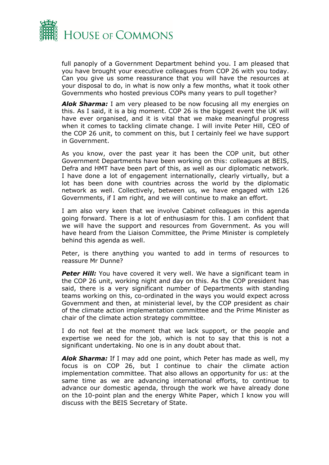

full panoply of a Government Department behind you. I am pleased that you have brought your executive colleagues from COP 26 with you today. Can you give us some reassurance that you will have the resources at your disposal to do, in what is now only a few months, what it took other Governments who hosted previous COPs many years to pull together?

*Alok Sharma:* I am very pleased to be now focusing all my energies on this. As I said, it is a big moment. COP 26 is the biggest event the UK will have ever organised, and it is vital that we make meaningful progress when it comes to tackling climate change. I will invite Peter Hill, CEO of the COP 26 unit, to comment on this, but I certainly feel we have support in Government.

As you know, over the past year it has been the COP unit, but other Government Departments have been working on this: colleagues at BEIS, Defra and HMT have been part of this, as well as our diplomatic network. I have done a lot of engagement internationally, clearly virtually, but a lot has been done with countries across the world by the diplomatic network as well. Collectively, between us, we have engaged with 126 Governments, if I am right, and we will continue to make an effort.

I am also very keen that we involve Cabinet colleagues in this agenda going forward. There is a lot of enthusiasm for this. I am confident that we will have the support and resources from Government. As you will have heard from the Liaison Committee, the Prime Minister is completely behind this agenda as well.

Peter, is there anything you wanted to add in terms of resources to reassure Mr Dunne?

**Peter Hill:** You have covered it very well. We have a significant team in the COP 26 unit, working night and day on this. As the COP president has said, there is a very significant number of Departments with standing teams working on this, co-ordinated in the ways you would expect across Government and then, at ministerial level, by the COP president as chair of the climate action implementation committee and the Prime Minister as chair of the climate action strategy committee.

I do not feel at the moment that we lack support, or the people and expertise we need for the job, which is not to say that this is not a significant undertaking. No one is in any doubt about that.

*Alok Sharma:* If I may add one point, which Peter has made as well, my focus is on COP 26, but I continue to chair the climate action implementation committee. That also allows an opportunity for us: at the same time as we are advancing international efforts, to continue to advance our domestic agenda, through the work we have already done on the 10-point plan and the energy White Paper, which I know you will discuss with the BEIS Secretary of State.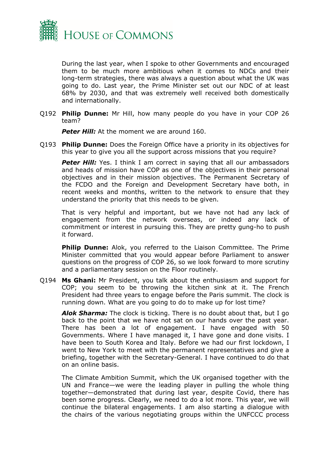

During the last year, when I spoke to other Governments and encouraged them to be much more ambitious when it comes to NDCs and their long-term strategies, there was always a question about what the UK was going to do. Last year, the Prime Minister set out our NDC of at least 68% by 2030, and that was extremely well received both domestically and internationally.

Q192 **Philip Dunne:** Mr Hill, how many people do you have in your COP 26 team?

**Peter Hill:** At the moment we are around 160.

Q193 **Philip Dunne:** Does the Foreign Office have a priority in its objectives for this year to give you all the support across missions that you require?

**Peter Hill:** Yes. I think I am correct in saying that all our ambassadors and heads of mission have COP as one of the objectives in their personal objectives and in their mission objectives. The Permanent Secretary of the FCDO and the Foreign and Development Secretary have both, in recent weeks and months, written to the network to ensure that they understand the priority that this needs to be given.

That is very helpful and important, but we have not had any lack of engagement from the network overseas, or indeed any lack of commitment or interest in pursuing this. They are pretty gung-ho to push it forward.

**Philip Dunne:** Alok, you referred to the Liaison Committee. The Prime Minister committed that you would appear before Parliament to answer questions on the progress of COP 26, so we look forward to more scrutiny and a parliamentary session on the Floor routinely.

Q194 **Ms Ghani:** Mr President, you talk about the enthusiasm and support for COP; you seem to be throwing the kitchen sink at it. The French President had three years to engage before the Paris summit. The clock is running down. What are you going to do to make up for lost time?

*Alok Sharma:* The clock is ticking. There is no doubt about that, but I go back to the point that we have not sat on our hands over the past year. There has been a lot of engagement. I have engaged with 50 Governments. Where I have managed it, I have gone and done visits. I have been to South Korea and Italy. Before we had our first lockdown, I went to New York to meet with the permanent representatives and give a briefing, together with the Secretary-General. I have continued to do that on an online basis.

The Climate Ambition Summit, which the UK organised together with the UN and France—we were the leading player in pulling the whole thing together—demonstrated that during last year, despite Covid, there has been some progress. Clearly, we need to do a lot more. This year, we will continue the bilateral engagements. I am also starting a dialogue with the chairs of the various negotiating groups within the UNFCCC process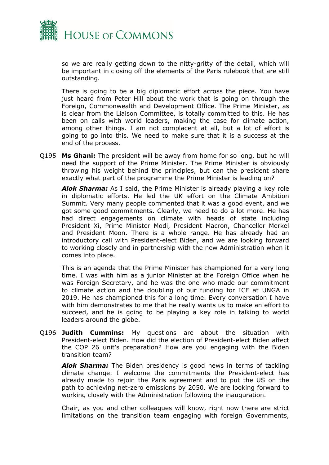

so we are really getting down to the nitty-gritty of the detail, which will be important in closing off the elements of the Paris rulebook that are still outstanding.

There is going to be a big diplomatic effort across the piece. You have just heard from Peter Hill about the work that is going on through the Foreign, Commonwealth and Development Office. The Prime Minister, as is clear from the Liaison Committee, is totally committed to this. He has been on calls with world leaders, making the case for climate action, among other things. I am not complacent at all, but a lot of effort is going to go into this. We need to make sure that it is a success at the end of the process.

Q195 **Ms Ghani:** The president will be away from home for so long, but he will need the support of the Prime Minister. The Prime Minister is obviously throwing his weight behind the principles, but can the president share exactly what part of the programme the Prime Minister is leading on?

*Alok Sharma:* As I said, the Prime Minister is already playing a key role in diplomatic efforts. He led the UK effort on the Climate Ambition Summit. Very many people commented that it was a good event, and we got some good commitments. Clearly, we need to do a lot more. He has had direct engagements on climate with heads of state including President Xi, Prime Minister Modi, President Macron, Chancellor Merkel and President Moon. There is a whole range. He has already had an introductory call with President-elect Biden, and we are looking forward to working closely and in partnership with the new Administration when it comes into place.

This is an agenda that the Prime Minister has championed for a very long time. I was with him as a junior Minister at the Foreign Office when he was Foreign Secretary, and he was the one who made our commitment to climate action and the doubling of our funding for ICF at UNGA in 2019. He has championed this for a long time. Every conversation I have with him demonstrates to me that he really wants us to make an effort to succeed, and he is going to be playing a key role in talking to world leaders around the globe.

Q196 **Judith Cummins:** My questions are about the situation with President-elect Biden. How did the election of President-elect Biden affect the COP 26 unit's preparation? How are you engaging with the Biden transition team?

*Alok Sharma:* The Biden presidency is good news in terms of tackling climate change. I welcome the commitments the President-elect has already made to rejoin the Paris agreement and to put the US on the path to achieving net-zero emissions by 2050. We are looking forward to working closely with the Administration following the inauguration.

Chair, as you and other colleagues will know, right now there are strict limitations on the transition team engaging with foreign Governments,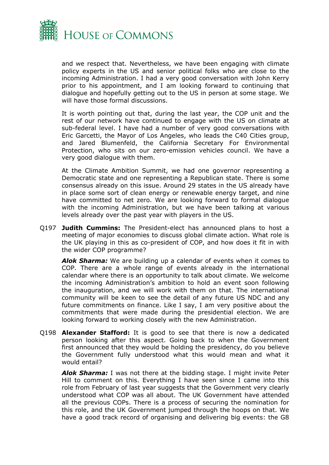

and we respect that. Nevertheless, we have been engaging with climate policy experts in the US and senior political folks who are close to the incoming Administration. I had a very good conversation with John Kerry prior to his appointment, and I am looking forward to continuing that dialogue and hopefully getting out to the US in person at some stage. We will have those formal discussions.

It is worth pointing out that, during the last year, the COP unit and the rest of our network have continued to engage with the US on climate at sub-federal level. I have had a number of very good conversations with Eric Garcetti, the Mayor of Los Angeles, who leads the C40 Cities group, and Jared Blumenfeld, the California Secretary For Environmental Protection, who sits on our zero-emission vehicles council. We have a very good dialogue with them.

At the Climate Ambition Summit, we had one governor representing a Democratic state and one representing a Republican state. There is some consensus already on this issue. Around 29 states in the US already have in place some sort of clean energy or renewable energy target, and nine have committed to net zero. We are looking forward to formal dialogue with the incoming Administration, but we have been talking at various levels already over the past year with players in the US.

Q197 **Judith Cummins:** The President-elect has announced plans to host a meeting of major economies to discuss global climate action. What role is the UK playing in this as co-president of COP, and how does it fit in with the wider COP programme?

*Alok Sharma:* We are building up a calendar of events when it comes to COP. There are a whole range of events already in the international calendar where there is an opportunity to talk about climate. We welcome the incoming Administration's ambition to hold an event soon following the inauguration, and we will work with them on that. The international community will be keen to see the detail of any future US NDC and any future commitments on finance. Like I say, I am very positive about the commitments that were made during the presidential election. We are looking forward to working closely with the new Administration.

Q198 **Alexander Stafford:** It is good to see that there is now a dedicated person looking after this aspect. Going back to when the Government first announced that they would be holding the presidency, do you believe the Government fully understood what this would mean and what it would entail?

*Alok Sharma:* I was not there at the bidding stage. I might invite Peter Hill to comment on this. Everything I have seen since I came into this role from February of last year suggests that the Government very clearly understood what COP was all about. The UK Government have attended all the previous COPs. There is a process of securing the nomination for this role, and the UK Government jumped through the hoops on that. We have a good track record of organising and delivering big events: the G8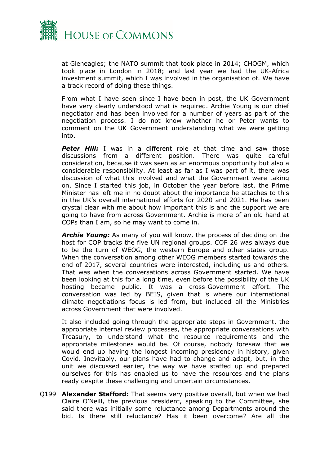

at Gleneagles; the NATO summit that took place in 2014; CHOGM, which took place in London in 2018; and last year we had the UK-Africa investment summit, which I was involved in the organisation of. We have a track record of doing these things.

From what I have seen since I have been in post, the UK Government have very clearly understood what is required. Archie Young is our chief negotiator and has been involved for a number of years as part of the negotiation process. I do not know whether he or Peter wants to comment on the UK Government understanding what we were getting into.

**Peter Hill:** I was in a different role at that time and saw those discussions from a different position. There was quite careful consideration, because it was seen as an enormous opportunity but also a considerable responsibility. At least as far as I was part of it, there was discussion of what this involved and what the Government were taking on. Since I started this job, in October the year before last, the Prime Minister has left me in no doubt about the importance he attaches to this in the UK's overall international efforts for 2020 and 2021. He has been crystal clear with me about how important this is and the support we are going to have from across Government. Archie is more of an old hand at COPs than I am, so he may want to come in.

*Archie Young:* As many of you will know, the process of deciding on the host for COP tracks the five UN regional groups. COP 26 was always due to be the turn of WEOG, the western Europe and other states group. When the conversation among other WEOG members started towards the end of 2017, several countries were interested, including us and others. That was when the conversations across Government started. We have been looking at this for a long time, even before the possibility of the UK hosting became public. It was a cross-Government effort. The conversation was led by BEIS, given that is where our international climate negotiations focus is led from, but included all the Ministries across Government that were involved.

It also included going through the appropriate steps in Government, the appropriate internal review processes, the appropriate conversations with Treasury, to understand what the resource requirements and the appropriate milestones would be. Of course, nobody foresaw that we would end up having the longest incoming presidency in history, given Covid. Inevitably, our plans have had to change and adapt, but, in the unit we discussed earlier, the way we have staffed up and prepared ourselves for this has enabled us to have the resources and the plans ready despite these challenging and uncertain circumstances.

Q199 **Alexander Stafford:** That seems very positive overall, but when we had Claire O'Neill, the previous president, speaking to the Committee, she said there was initially some reluctance among Departments around the bid. Is there still reluctance? Has it been overcome? Are all the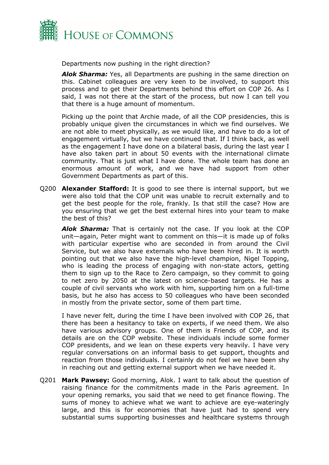

Departments now pushing in the right direction?

*Alok Sharma:* Yes, all Departments are pushing in the same direction on this. Cabinet colleagues are very keen to be involved, to support this process and to get their Departments behind this effort on COP 26. As I said, I was not there at the start of the process, but now I can tell you that there is a huge amount of momentum.

Picking up the point that Archie made, of all the COP presidencies, this is probably unique given the circumstances in which we find ourselves. We are not able to meet physically, as we would like, and have to do a lot of engagement virtually, but we have continued that. If I think back, as well as the engagement I have done on a bilateral basis, during the last year I have also taken part in about 50 events with the international climate community. That is just what I have done. The whole team has done an enormous amount of work, and we have had support from other Government Departments as part of this.

Q200 **Alexander Stafford:** It is good to see there is internal support, but we were also told that the COP unit was unable to recruit externally and to get the best people for the role, frankly. Is that still the case? How are you ensuring that we get the best external hires into your team to make the best of this?

*Alok Sharma:* That is certainly not the case. If you look at the COP unit—again, Peter might want to comment on this—it is made up of folks with particular expertise who are seconded in from around the Civil Service, but we also have externals who have been hired in. It is worth pointing out that we also have the high-level champion, Nigel Topping, who is leading the process of engaging with non-state actors, getting them to sign up to the Race to Zero campaign, so they commit to going to net zero by 2050 at the latest on science-based targets. He has a couple of civil servants who work with him, supporting him on a full-time basis, but he also has access to 50 colleagues who have been seconded in mostly from the private sector, some of them part time.

I have never felt, during the time I have been involved with COP 26, that there has been a hesitancy to take on experts, if we need them. We also have various advisory groups. One of them is Friends of COP, and its details are on the COP website. These individuals include some former COP presidents, and we lean on these experts very heavily. I have very regular conversations on an informal basis to get support, thoughts and reaction from those individuals. I certainly do not feel we have been shy in reaching out and getting external support when we have needed it.

Q201 **Mark Pawsey:** Good morning, Alok. I want to talk about the question of raising finance for the commitments made in the Paris agreement. In your opening remarks, you said that we need to get finance flowing. The sums of money to achieve what we want to achieve are eye-wateringly large, and this is for economies that have just had to spend very substantial sums supporting businesses and healthcare systems through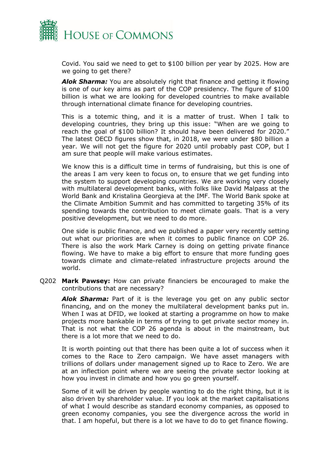

Covid. You said we need to get to \$100 billion per year by 2025. How are we going to get there?

*Alok Sharma:* You are absolutely right that finance and getting it flowing is one of our key aims as part of the COP presidency. The figure of \$100 billion is what we are looking for developed countries to make available through international climate finance for developing countries.

This is a totemic thing, and it is a matter of trust. When I talk to developing countries, they bring up this issue: "When are we going to reach the goal of \$100 billion? It should have been delivered for 2020." The latest OECD figures show that, in 2018, we were under \$80 billion a year. We will not get the figure for 2020 until probably past COP, but I am sure that people will make various estimates.

We know this is a difficult time in terms of fundraising, but this is one of the areas I am very keen to focus on, to ensure that we get funding into the system to support developing countries. We are working very closely with multilateral development banks, with folks like David Malpass at the World Bank and Kristalina Georgieva at the IMF. The World Bank spoke at the Climate Ambition Summit and has committed to targeting 35% of its spending towards the contribution to meet climate goals. That is a very positive development, but we need to do more.

One side is public finance, and we published a paper very recently setting out what our priorities are when it comes to public finance on COP 26. There is also the work Mark Carney is doing on getting private finance flowing. We have to make a big effort to ensure that more funding goes towards climate and climate-related infrastructure projects around the world.

Q202 **Mark Pawsey:** How can private financiers be encouraged to make the contributions that are necessary?

*Alok Sharma:* Part of it is the leverage you get on any public sector financing, and on the money the multilateral development banks put in. When I was at DFID, we looked at starting a programme on how to make projects more bankable in terms of trying to get private sector money in. That is not what the COP 26 agenda is about in the mainstream, but there is a lot more that we need to do.

It is worth pointing out that there has been quite a lot of success when it comes to the Race to Zero campaign. We have asset managers with trillions of dollars under management signed up to Race to Zero. We are at an inflection point where we are seeing the private sector looking at how you invest in climate and how you go green yourself.

Some of it will be driven by people wanting to do the right thing, but it is also driven by shareholder value. If you look at the market capitalisations of what I would describe as standard economy companies, as opposed to green economy companies, you see the divergence across the world in that. I am hopeful, but there is a lot we have to do to get finance flowing.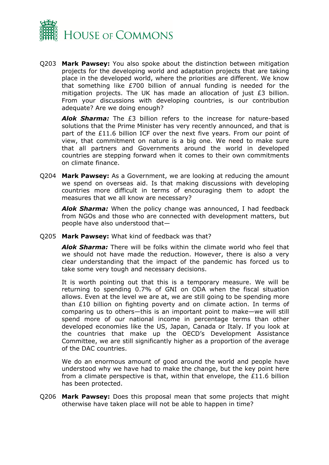

Q203 **Mark Pawsey:** You also spoke about the distinction between mitigation projects for the developing world and adaptation projects that are taking place in the developed world, where the priorities are different. We know that something like £700 billion of annual funding is needed for the mitigation projects. The UK has made an allocation of just £3 billion. From your discussions with developing countries, is our contribution adequate? Are we doing enough?

*Alok Sharma:* The £3 billion refers to the increase for nature-based solutions that the Prime Minister has very recently announced, and that is part of the £11.6 billion ICF over the next five years. From our point of view, that commitment on nature is a big one. We need to make sure that all partners and Governments around the world in developed countries are stepping forward when it comes to their own commitments on climate finance.

Q204 **Mark Pawsey:** As a Government, we are looking at reducing the amount we spend on overseas aid. Is that making discussions with developing countries more difficult in terms of encouraging them to adopt the measures that we all know are necessary?

*Alok Sharma:* When the policy change was announced, I had feedback from NGOs and those who are connected with development matters, but people have also understood that—

Q205 **Mark Pawsey:** What kind of feedback was that?

*Alok Sharma:* There will be folks within the climate world who feel that we should not have made the reduction. However, there is also a very clear understanding that the impact of the pandemic has forced us to take some very tough and necessary decisions.

It is worth pointing out that this is a temporary measure. We will be returning to spending 0.7% of GNI on ODA when the fiscal situation allows. Even at the level we are at, we are still going to be spending more than £10 billion on fighting poverty and on climate action. In terms of comparing us to others—this is an important point to make—we will still spend more of our national income in percentage terms than other developed economies like the US, Japan, Canada or Italy. If you look at the countries that make up the OECD's Development Assistance Committee, we are still significantly higher as a proportion of the average of the DAC countries.

We do an enormous amount of good around the world and people have understood why we have had to make the change, but the key point here from a climate perspective is that, within that envelope, the £11.6 billion has been protected.

Q206 **Mark Pawsey:** Does this proposal mean that some projects that might otherwise have taken place will not be able to happen in time?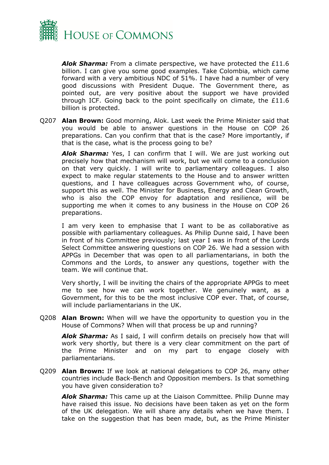

*Alok Sharma:* From a climate perspective, we have protected the £11.6 billion. I can give you some good examples. Take Colombia, which came forward with a very ambitious NDC of 51%. I have had a number of very good discussions with President Duque. The Government there, as pointed out, are very positive about the support we have provided through ICF. Going back to the point specifically on climate, the  $£11.6$ billion is protected.

Q207 **Alan Brown:** Good morning, Alok. Last week the Prime Minister said that you would be able to answer questions in the House on COP 26 preparations. Can you confirm that that is the case? More importantly, if that is the case, what is the process going to be?

*Alok Sharma:* Yes, I can confirm that I will. We are just working out precisely how that mechanism will work, but we will come to a conclusion on that very quickly. I will write to parliamentary colleagues. I also expect to make regular statements to the House and to answer written questions, and I have colleagues across Government who, of course, support this as well. The Minister for Business, Energy and Clean Growth, who is also the COP envoy for adaptation and resilience, will be supporting me when it comes to any business in the House on COP 26 preparations.

I am very keen to emphasise that I want to be as collaborative as possible with parliamentary colleagues. As Philip Dunne said, I have been in front of his Committee previously; last year I was in front of the Lords Select Committee answering questions on COP 26. We had a session with APPGs in December that was open to all parliamentarians, in both the Commons and the Lords, to answer any questions, together with the team. We will continue that.

Very shortly, I will be inviting the chairs of the appropriate APPGs to meet me to see how we can work together. We genuinely want, as a Government, for this to be the most inclusive COP ever. That, of course, will include parliamentarians in the UK.

Q208 **Alan Brown:** When will we have the opportunity to question you in the House of Commons? When will that process be up and running?

*Alok Sharma:* As I said, I will confirm details on precisely how that will work very shortly, but there is a very clear commitment on the part of the Prime Minister and on my part to engage closely with parliamentarians.

Q209 **Alan Brown:** If we look at national delegations to COP 26, many other countries include Back-Bench and Opposition members. Is that something you have given consideration to?

*Alok Sharma:* This came up at the Liaison Committee. Philip Dunne may have raised this issue. No decisions have been taken as yet on the form of the UK delegation. We will share any details when we have them. I take on the suggestion that has been made, but, as the Prime Minister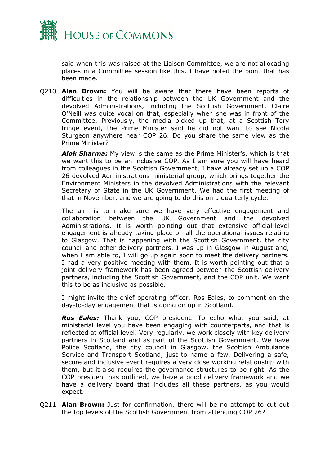

said when this was raised at the Liaison Committee, we are not allocating places in a Committee session like this. I have noted the point that has been made.

Q210 **Alan Brown:** You will be aware that there have been reports of difficulties in the relationship between the UK Government and the devolved Administrations, including the Scottish Government. Claire O'Neill was quite vocal on that, especially when she was in front of the Committee. Previously, the media picked up that, at a Scottish Tory fringe event, the Prime Minister said he did not want to see Nicola Sturgeon anywhere near COP 26. Do you share the same view as the Prime Minister?

*Alok Sharma:* My view is the same as the Prime Minister's, which is that we want this to be an inclusive COP. As I am sure you will have heard from colleagues in the Scottish Government, I have already set up a COP 26 devolved Administrations ministerial group, which brings together the Environment Ministers in the devolved Administrations with the relevant Secretary of State in the UK Government. We had the first meeting of that in November, and we are going to do this on a quarterly cycle.

The aim is to make sure we have very effective engagement and collaboration between the UK Government and the devolved Administrations. It is worth pointing out that extensive official-level engagement is already taking place on all the operational issues relating to Glasgow. That is happening with the Scottish Government, the city council and other delivery partners. I was up in Glasgow in August and, when I am able to, I will go up again soon to meet the delivery partners. I had a very positive meeting with them. It is worth pointing out that a joint delivery framework has been agreed between the Scottish delivery partners, including the Scottish Government, and the COP unit. We want this to be as inclusive as possible.

I might invite the chief operating officer, Ros Eales, to comment on the day-to-day engagement that is going on up in Scotland.

*Ros Eales:* Thank you, COP president. To echo what you said, at ministerial level you have been engaging with counterparts, and that is reflected at official level. Very regularly, we work closely with key delivery partners in Scotland and as part of the Scottish Government. We have Police Scotland, the city council in Glasgow, the Scottish Ambulance Service and Transport Scotland, just to name a few. Delivering a safe, secure and inclusive event requires a very close working relationship with them, but it also requires the governance structures to be right. As the COP president has outlined, we have a good delivery framework and we have a delivery board that includes all these partners, as you would expect.

Q211 **Alan Brown:** Just for confirmation, there will be no attempt to cut out the top levels of the Scottish Government from attending COP 26?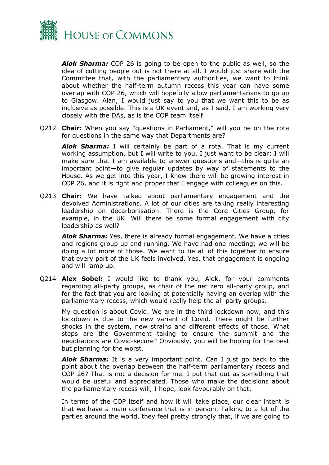

*Alok Sharma:* COP 26 is going to be open to the public as well, so the idea of cutting people out is not there at all. I would just share with the Committee that, with the parliamentary authorities, we want to think about whether the half-term autumn recess this year can have some overlap with COP 26, which will hopefully allow parliamentarians to go up to Glasgow. Alan, I would just say to you that we want this to be as inclusive as possible. This is a UK event and, as I said, I am working very closely with the DAs, as is the COP team itself.

Q212 **Chair:** When you say "questions in Parliament," will you be on the rota for questions in the same way that Departments are?

*Alok Sharma:* I will certainly be part of a rota. That is my current working assumption, but I will write to you. I just want to be clear: I will make sure that I am available to answer questions and—this is quite an important point—to give regular updates by way of statements to the House. As we get into this year, I know there will be growing interest in COP 26, and it is right and proper that I engage with colleagues on this.

Q213 **Chair:** We have talked about parliamentary engagement and the devolved Administrations. A lot of our cities are taking really interesting leadership on decarbonisation. There is the Core Cities Group, for example, in the UK. Will there be some formal engagement with city leadership as well?

*Alok Sharma:* Yes, there is already formal engagement. We have a cities and regions group up and running. We have had one meeting; we will be doing a lot more of those. We want to tie all of this together to ensure that every part of the UK feels involved. Yes, that engagement is ongoing and will ramp up.

Q214 **Alex Sobel:** I would like to thank you, Alok, for your comments regarding all-party groups, as chair of the net zero all-party group, and for the fact that you are looking at potentially having an overlap with the parliamentary recess, which would really help the all-party groups.

My question is about Covid. We are in the third lockdown now, and this lockdown is due to the new variant of Covid. There might be further shocks in the system, new strains and different effects of those. What steps are the Government taking to ensure the summit and the negotiations are Covid-secure? Obviously, you will be hoping for the best but planning for the worst.

*Alok Sharma:* It is a very important point. Can I just go back to the point about the overlap between the half-term parliamentary recess and COP 26? That is not a decision for me. I put that out as something that would be useful and appreciated. Those who make the decisions about the parliamentary recess will, I hope, look favourably on that.

In terms of the COP itself and how it will take place, our clear intent is that we have a main conference that is in person. Talking to a lot of the parties around the world, they feel pretty strongly that, if we are going to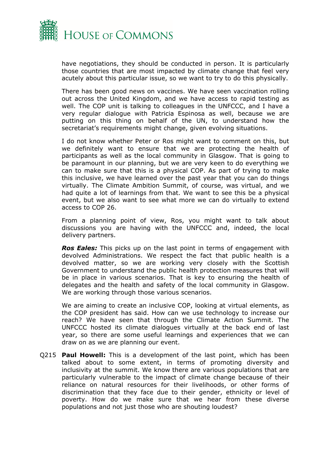

have negotiations, they should be conducted in person. It is particularly those countries that are most impacted by climate change that feel very acutely about this particular issue, so we want to try to do this physically.

There has been good news on vaccines. We have seen vaccination rolling out across the United Kingdom, and we have access to rapid testing as well. The COP unit is talking to colleagues in the UNFCCC, and I have a very regular dialogue with Patricia Espinosa as well, because we are putting on this thing on behalf of the UN, to understand how the secretariat's requirements might change, given evolving situations.

I do not know whether Peter or Ros might want to comment on this, but we definitely want to ensure that we are protecting the health of participants as well as the local community in Glasgow. That is going to be paramount in our planning, but we are very keen to do everything we can to make sure that this is a physical COP. As part of trying to make this inclusive, we have learned over the past year that you can do things virtually. The Climate Ambition Summit, of course, was virtual, and we had quite a lot of learnings from that. We want to see this be a physical event, but we also want to see what more we can do virtually to extend access to COP 26.

From a planning point of view, Ros, you might want to talk about discussions you are having with the UNFCCC and, indeed, the local delivery partners.

*Ros Eales:* This picks up on the last point in terms of engagement with devolved Administrations. We respect the fact that public health is a devolved matter, so we are working very closely with the Scottish Government to understand the public health protection measures that will be in place in various scenarios. That is key to ensuring the health of delegates and the health and safety of the local community in Glasgow. We are working through those various scenarios.

We are aiming to create an inclusive COP, looking at virtual elements, as the COP president has said. How can we use technology to increase our reach? We have seen that through the Climate Action Summit. The UNFCCC hosted its climate dialogues virtually at the back end of last year, so there are some useful learnings and experiences that we can draw on as we are planning our event.

Q215 **Paul Howell:** This is a development of the last point, which has been talked about to some extent, in terms of promoting diversity and inclusivity at the summit. We know there are various populations that are particularly vulnerable to the impact of climate change because of their reliance on natural resources for their livelihoods, or other forms of discrimination that they face due to their gender, ethnicity or level of poverty. How do we make sure that we hear from these diverse populations and not just those who are shouting loudest?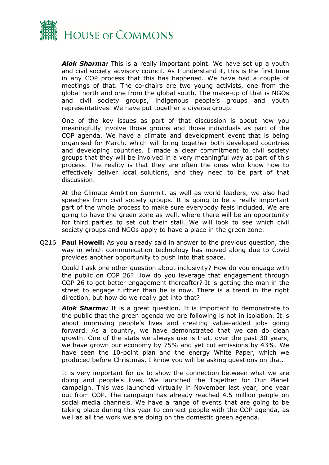

*Alok Sharma:* This is a really important point. We have set up a youth and civil society advisory council. As I understand it, this is the first time in any COP process that this has happened. We have had a couple of meetings of that. The co-chairs are two young activists, one from the global north and one from the global south. The make-up of that is NGOs and civil society groups, indigenous people's groups and youth representatives. We have put together a diverse group.

One of the key issues as part of that discussion is about how you meaningfully involve those groups and those individuals as part of the COP agenda. We have a climate and development event that is being organised for March, which will bring together both developed countries and developing countries. I made a clear commitment to civil society groups that they will be involved in a very meaningful way as part of this process. The reality is that they are often the ones who know how to effectively deliver local solutions, and they need to be part of that discussion.

At the Climate Ambition Summit, as well as world leaders, we also had speeches from civil society groups. It is going to be a really important part of the whole process to make sure everybody feels included. We are going to have the green zone as well, where there will be an opportunity for third parties to set out their stall. We will look to see which civil society groups and NGOs apply to have a place in the green zone.

Q216 **Paul Howell:** As you already said in answer to the previous question, the way in which communication technology has moved along due to Covid provides another opportunity to push into that space.

Could I ask one other question about inclusivity? How do you engage with the public on COP 26? How do you leverage that engagement through COP 26 to get better engagement thereafter? It is getting the man in the street to engage further than he is now. There is a trend in the right direction, but how do we really get into that?

*Alok Sharma:* It is a great question. It is important to demonstrate to the public that the green agenda we are following is not in isolation. It is about improving people's lives and creating value-added jobs going forward. As a country, we have demonstrated that we can do clean growth. One of the stats we always use is that, over the past 30 years, we have grown our economy by 75% and yet cut emissions by 43%. We have seen the 10-point plan and the energy White Paper, which we produced before Christmas. I know you will be asking questions on that.

It is very important for us to show the connection between what we are doing and people's lives. We launched the Together for Our Planet campaign. This was launched virtually in November last year, one year out from COP. The campaign has already reached 4.5 million people on social media channels. We have a range of events that are going to be taking place during this year to connect people with the COP agenda, as well as all the work we are doing on the domestic green agenda.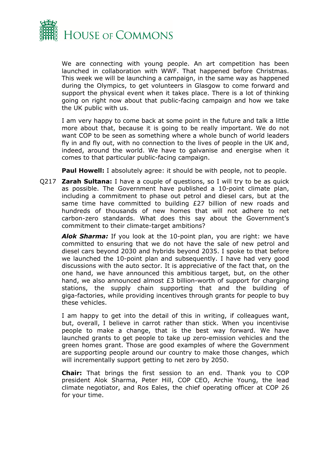

We are connecting with young people. An art competition has been launched in collaboration with WWF. That happened before Christmas. This week we will be launching a campaign, in the same way as happened during the Olympics, to get volunteers in Glasgow to come forward and support the physical event when it takes place. There is a lot of thinking going on right now about that public-facing campaign and how we take the UK public with us.

I am very happy to come back at some point in the future and talk a little more about that, because it is going to be really important. We do not want COP to be seen as something where a whole bunch of world leaders fly in and fly out, with no connection to the lives of people in the UK and, indeed, around the world. We have to galvanise and energise when it comes to that particular public-facing campaign.

**Paul Howell:** I absolutely agree: it should be with people, not to people.

Q217 **Zarah Sultana:** I have a couple of questions, so I will try to be as quick as possible. The Government have published a 10-point climate plan, including a commitment to phase out petrol and diesel cars, but at the same time have committed to building £27 billion of new roads and hundreds of thousands of new homes that will not adhere to net carbon-zero standards. What does this say about the Government's commitment to their climate-target ambitions?

*Alok Sharma:* If you look at the 10-point plan, you are right: we have committed to ensuring that we do not have the sale of new petrol and diesel cars beyond 2030 and hybrids beyond 2035. I spoke to that before we launched the 10-point plan and subsequently. I have had very good discussions with the auto sector. It is appreciative of the fact that, on the one hand, we have announced this ambitious target, but, on the other hand, we also announced almost £3 billion-worth of support for charging stations, the supply chain supporting that and the building of giga-factories, while providing incentives through grants for people to buy these vehicles.

I am happy to get into the detail of this in writing, if colleagues want, but, overall, I believe in carrot rather than stick. When you incentivise people to make a change, that is the best way forward. We have launched grants to get people to take up zero-emission vehicles and the green homes grant. Those are good examples of where the Government are supporting people around our country to make those changes, which will incrementally support getting to net zero by 2050.

**Chair:** That brings the first session to an end. Thank you to COP president Alok Sharma, Peter Hill, COP CEO, Archie Young, the lead climate negotiator, and Ros Eales, the chief operating officer at COP 26 for your time.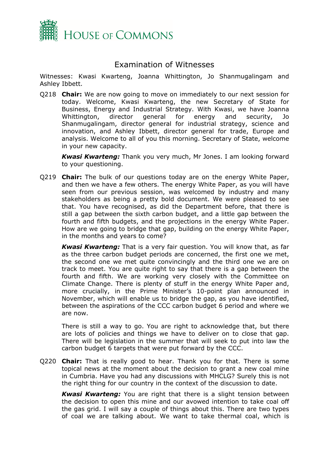

## <span id="page-18-0"></span>Examination of Witnesses

Witnesses: Kwasi Kwarteng, Joanna Whittington, Jo Shanmugalingam and Ashley Ibbett.

Q218 **Chair:** We are now going to move on immediately to our next session for today. Welcome, Kwasi Kwarteng, the new Secretary of State for Business, Energy and Industrial Strategy. With Kwasi, we have Joanna Whittington, director general for energy and security, Jo Shanmugalingam, director general for industrial strategy, science and innovation, and Ashley Ibbett, director general for trade, Europe and analysis. Welcome to all of you this morning. Secretary of State, welcome in your new capacity.

*Kwasi Kwarteng:* Thank you very much, Mr Jones. I am looking forward to your questioning.

Q219 **Chair:** The bulk of our questions today are on the energy White Paper, and then we have a few others. The energy White Paper, as you will have seen from our previous session, was welcomed by industry and many stakeholders as being a pretty bold document. We were pleased to see that. You have recognised, as did the Department before, that there is still a gap between the sixth carbon budget, and a little gap between the fourth and fifth budgets, and the projections in the energy White Paper. How are we going to bridge that gap, building on the energy White Paper, in the months and years to come?

*Kwasi Kwarteng:* That is a very fair question. You will know that, as far as the three carbon budget periods are concerned, the first one we met, the second one we met quite convincingly and the third one we are on track to meet. You are quite right to say that there is a gap between the fourth and fifth. We are working very closely with the Committee on Climate Change. There is plenty of stuff in the energy White Paper and, more crucially, in the Prime Minister's 10-point plan announced in November, which will enable us to bridge the gap, as you have identified, between the aspirations of the CCC carbon budget 6 period and where we are now.

There is still a way to go. You are right to acknowledge that, but there are lots of policies and things we have to deliver on to close that gap. There will be legislation in the summer that will seek to put into law the carbon budget 6 targets that were put forward by the CCC.

Q220 **Chair:** That is really good to hear. Thank you for that. There is some topical news at the moment about the decision to grant a new coal mine in Cumbria. Have you had any discussions with MHCLG? Surely this is not the right thing for our country in the context of the discussion to date.

*Kwasi Kwarteng:* You are right that there is a slight tension between the decision to open this mine and our avowed intention to take coal off the gas grid. I will say a couple of things about this. There are two types of coal we are talking about. We want to take thermal coal, which is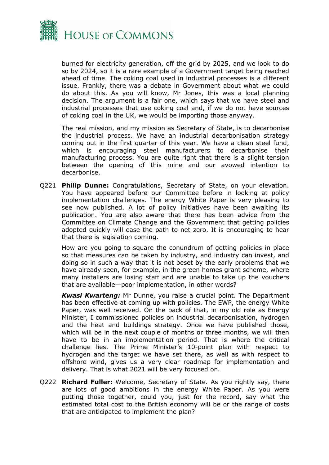

burned for electricity generation, off the grid by 2025, and we look to do so by 2024, so it is a rare example of a Government target being reached ahead of time. The coking coal used in industrial processes is a different issue. Frankly, there was a debate in Government about what we could do about this. As you will know, Mr Jones, this was a local planning decision. The argument is a fair one, which says that we have steel and industrial processes that use coking coal and, if we do not have sources of coking coal in the UK, we would be importing those anyway.

The real mission, and my mission as Secretary of State, is to decarbonise the industrial process. We have an industrial decarbonisation strategy coming out in the first quarter of this year. We have a clean steel fund, which is encouraging steel manufacturers to decarbonise their manufacturing process. You are quite right that there is a slight tension between the opening of this mine and our avowed intention to decarbonise.

Q221 **Philip Dunne:** Congratulations, Secretary of State, on your elevation. You have appeared before our Committee before in looking at policy implementation challenges. The energy White Paper is very pleasing to see now published. A lot of policy initiatives have been awaiting its publication. You are also aware that there has been advice from the Committee on Climate Change and the Government that getting policies adopted quickly will ease the path to net zero. It is encouraging to hear that there is legislation coming.

How are you going to square the conundrum of getting policies in place so that measures can be taken by industry, and industry can invest, and doing so in such a way that it is not beset by the early problems that we have already seen, for example, in the green homes grant scheme, where many installers are losing staff and are unable to take up the vouchers that are available—poor implementation, in other words?

*Kwasi Kwarteng:* Mr Dunne, you raise a crucial point. The Department has been effective at coming up with policies. The EWP, the energy White Paper, was well received. On the back of that, in my old role as Energy Minister, I commissioned policies on industrial decarbonisation, hydrogen and the heat and buildings strategy. Once we have published those, which will be in the next couple of months or three months, we will then have to be in an implementation period. That is where the critical challenge lies. The Prime Minister's 10-point plan with respect to hydrogen and the target we have set there, as well as with respect to offshore wind, gives us a very clear roadmap for implementation and delivery. That is what 2021 will be very focused on.

Q222 **Richard Fuller:** Welcome, Secretary of State. As you rightly say, there are lots of good ambitions in the energy White Paper. As you were putting those together, could you, just for the record, say what the estimated total cost to the British economy will be or the range of costs that are anticipated to implement the plan?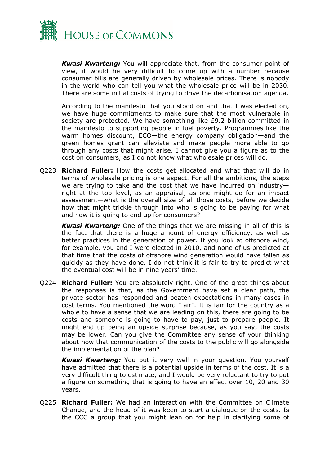

*Kwasi Kwarteng:* You will appreciate that, from the consumer point of view, it would be very difficult to come up with a number because consumer bills are generally driven by wholesale prices. There is nobody in the world who can tell you what the wholesale price will be in 2030. There are some initial costs of trying to drive the decarbonisation agenda.

According to the manifesto that you stood on and that I was elected on, we have huge commitments to make sure that the most vulnerable in society are protected. We have something like £9.2 billion committed in the manifesto to supporting people in fuel poverty. Programmes like the warm homes discount, ECO—the energy company obligation—and the green homes grant can alleviate and make people more able to go through any costs that might arise. I cannot give you a figure as to the cost on consumers, as I do not know what wholesale prices will do.

Q223 **Richard Fuller:** How the costs get allocated and what that will do in terms of wholesale pricing is one aspect. For all the ambitions, the steps we are trying to take and the cost that we have incurred on industry right at the top level, as an appraisal, as one might do for an impact assessment—what is the overall size of all those costs, before we decide how that might trickle through into who is going to be paying for what and how it is going to end up for consumers?

*Kwasi Kwarteng:* One of the things that we are missing in all of this is the fact that there is a huge amount of energy efficiency, as well as better practices in the generation of power. If you look at offshore wind, for example, you and I were elected in 2010, and none of us predicted at that time that the costs of offshore wind generation would have fallen as quickly as they have done. I do not think it is fair to try to predict what the eventual cost will be in nine years' time.

Q224 **Richard Fuller:** You are absolutely right. One of the great things about the responses is that, as the Government have set a clear path, the private sector has responded and beaten expectations in many cases in cost terms. You mentioned the word "fair". It is fair for the country as a whole to have a sense that we are leading on this, there are going to be costs and someone is going to have to pay, just to prepare people. It might end up being an upside surprise because, as you say, the costs may be lower. Can you give the Committee any sense of your thinking about how that communication of the costs to the public will go alongside the implementation of the plan?

*Kwasi Kwarteng:* You put it very well in your question. You yourself have admitted that there is a potential upside in terms of the cost. It is a very difficult thing to estimate, and I would be very reluctant to try to put a figure on something that is going to have an effect over 10, 20 and 30 years.

Q225 **Richard Fuller:** We had an interaction with the Committee on Climate Change, and the head of it was keen to start a dialogue on the costs. Is the CCC a group that you might lean on for help in clarifying some of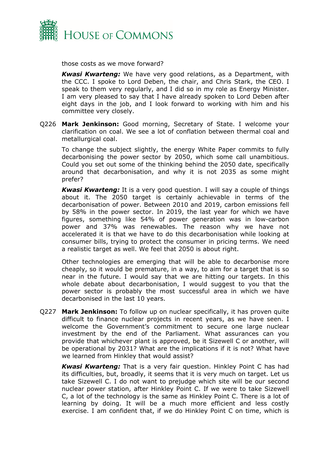

those costs as we move forward?

*Kwasi Kwarteng:* We have very good relations, as a Department, with the CCC. I spoke to Lord Deben, the chair, and Chris Stark, the CEO. I speak to them very regularly, and I did so in my role as Energy Minister. I am very pleased to say that I have already spoken to Lord Deben after eight days in the job, and I look forward to working with him and his committee very closely.

Q226 **Mark Jenkinson:** Good morning, Secretary of State. I welcome your clarification on coal. We see a lot of conflation between thermal coal and metallurgical coal.

To change the subject slightly, the energy White Paper commits to fully decarbonising the power sector by 2050, which some call unambitious. Could you set out some of the thinking behind the 2050 date, specifically around that decarbonisation, and why it is not 2035 as some might prefer?

*Kwasi Kwarteng:* It is a very good question. I will say a couple of things about it. The 2050 target is certainly achievable in terms of the decarbonisation of power. Between 2010 and 2019, carbon emissions fell by 58% in the power sector. In 2019, the last year for which we have figures, something like 54% of power generation was in low-carbon power and 37% was renewables. The reason why we have not accelerated it is that we have to do this decarbonisation while looking at consumer bills, trying to protect the consumer in pricing terms. We need a realistic target as well. We feel that 2050 is about right.

Other technologies are emerging that will be able to decarbonise more cheaply, so it would be premature, in a way, to aim for a target that is so near in the future. I would say that we are hitting our targets. In this whole debate about decarbonisation, I would suggest to you that the power sector is probably the most successful area in which we have decarbonised in the last 10 years.

Q227 **Mark Jenkinson:** To follow up on nuclear specifically, it has proven quite difficult to finance nuclear projects in recent years, as we have seen. I welcome the Government's commitment to secure one large nuclear investment by the end of the Parliament. What assurances can you provide that whichever plant is approved, be it Sizewell C or another, will be operational by 2031? What are the implications if it is not? What have we learned from Hinkley that would assist?

*Kwasi Kwarteng:* That is a very fair question. Hinkley Point C has had its difficulties, but, broadly, it seems that it is very much on target. Let us take Sizewell C. I do not want to prejudge which site will be our second nuclear power station, after Hinkley Point C. If we were to take Sizewell C, a lot of the technology is the same as Hinkley Point C. There is a lot of learning by doing. It will be a much more efficient and less costly exercise. I am confident that, if we do Hinkley Point C on time, which is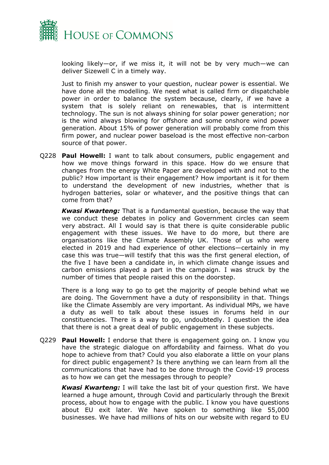

looking likely—or, if we miss it, it will not be by very much—we can deliver Sizewell C in a timely way.

Just to finish my answer to your question, nuclear power is essential. We have done all the modelling. We need what is called firm or dispatchable power in order to balance the system because, clearly, if we have a system that is solely reliant on renewables, that is intermittent technology. The sun is not always shining for solar power generation; nor is the wind always blowing for offshore and some onshore wind power generation. About 15% of power generation will probably come from this firm power, and nuclear power baseload is the most effective non-carbon source of that power.

Q228 **Paul Howell:** I want to talk about consumers, public engagement and how we move things forward in this space. How do we ensure that changes from the energy White Paper are developed with and not to the public? How important is their engagement? How important is it for them to understand the development of new industries, whether that is hydrogen batteries, solar or whatever, and the positive things that can come from that?

*Kwasi Kwarteng:* That is a fundamental question, because the way that we conduct these debates in policy and Government circles can seem very abstract. All I would say is that there is quite considerable public engagement with these issues. We have to do more, but there are organisations like the Climate Assembly UK. Those of us who were elected in 2019 and had experience of other elections—certainly in my case this was true—will testify that this was the first general election, of the five I have been a candidate in, in which climate change issues and carbon emissions played a part in the campaign. I was struck by the number of times that people raised this on the doorstep.

There is a long way to go to get the majority of people behind what we are doing. The Government have a duty of responsibility in that. Things like the Climate Assembly are very important. As individual MPs, we have a duty as well to talk about these issues in forums held in our constituencies. There is a way to go, undoubtedly. I question the idea that there is not a great deal of public engagement in these subjects.

Q229 **Paul Howell:** I endorse that there is engagement going on. I know you have the strategic dialogue on affordability and fairness. What do you hope to achieve from that? Could you also elaborate a little on your plans for direct public engagement? Is there anything we can learn from all the communications that have had to be done through the Covid-19 process as to how we can get the messages through to people?

*Kwasi Kwarteng:* I will take the last bit of your question first. We have learned a huge amount, through Covid and particularly through the Brexit process, about how to engage with the public. I know you have questions about EU exit later. We have spoken to something like 55,000 businesses. We have had millions of hits on our website with regard to EU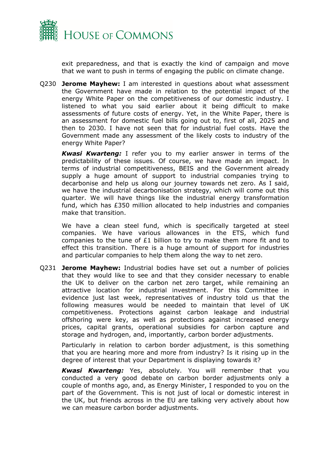

exit preparedness, and that is exactly the kind of campaign and move that we want to push in terms of engaging the public on climate change.

Q230 **Jerome Mayhew:** I am interested in questions about what assessment the Government have made in relation to the potential impact of the energy White Paper on the competitiveness of our domestic industry. I listened to what you said earlier about it being difficult to make assessments of future costs of energy. Yet, in the White Paper, there is an assessment for domestic fuel bills going out to, first of all, 2025 and then to 2030. I have not seen that for industrial fuel costs. Have the Government made any assessment of the likely costs to industry of the energy White Paper?

*Kwasi Kwarteng:* I refer you to my earlier answer in terms of the predictability of these issues. Of course, we have made an impact. In terms of industrial competitiveness, BEIS and the Government already supply a huge amount of support to industrial companies trying to decarbonise and help us along our journey towards net zero. As I said, we have the industrial decarbonisation strategy, which will come out this quarter. We will have things like the industrial energy transformation fund, which has £350 million allocated to help industries and companies make that transition.

We have a clean steel fund, which is specifically targeted at steel companies. We have various allowances in the ETS, which fund companies to the tune of £1 billion to try to make them more fit and to effect this transition. There is a huge amount of support for industries and particular companies to help them along the way to net zero.

Q231 **Jerome Mayhew:** Industrial bodies have set out a number of policies that they would like to see and that they consider necessary to enable the UK to deliver on the carbon net zero target, while remaining an attractive location for industrial investment. For this Committee in evidence just last week, representatives of industry told us that the following measures would be needed to maintain that level of UK competitiveness. Protections against carbon leakage and industrial offshoring were key, as well as protections against increased energy prices, capital grants, operational subsidies for carbon capture and storage and hydrogen, and, importantly, carbon border adjustments.

Particularly in relation to carbon border adjustment, is this something that you are hearing more and more from industry? Is it rising up in the degree of interest that your Department is displaying towards it?

*Kwasi Kwarteng:* Yes, absolutely. You will remember that you conducted a very good debate on carbon border adjustments only a couple of months ago, and, as Energy Minister, I responded to you on the part of the Government. This is not just of local or domestic interest in the UK, but friends across in the EU are talking very actively about how we can measure carbon border adjustments.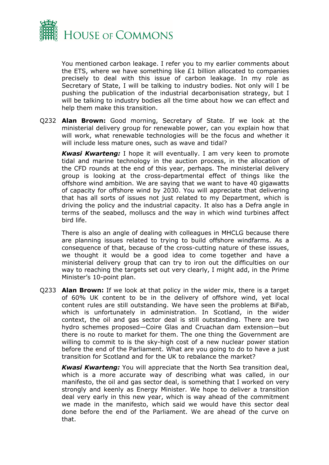

You mentioned carbon leakage. I refer you to my earlier comments about the ETS, where we have something like £1 billion allocated to companies precisely to deal with this issue of carbon leakage. In my role as Secretary of State, I will be talking to industry bodies. Not only will I be pushing the publication of the industrial decarbonisation strategy, but I will be talking to industry bodies all the time about how we can effect and help them make this transition.

Q232 **Alan Brown:** Good morning, Secretary of State. If we look at the ministerial delivery group for renewable power, can you explain how that will work, what renewable technologies will be the focus and whether it will include less mature ones, such as wave and tidal?

*Kwasi Kwarteng:* I hope it will eventually. I am very keen to promote tidal and marine technology in the auction process, in the allocation of the CFD rounds at the end of this year, perhaps. The ministerial delivery group is looking at the cross-departmental effect of things like the offshore wind ambition. We are saying that we want to have 40 gigawatts of capacity for offshore wind by 2030. You will appreciate that delivering that has all sorts of issues not just related to my Department, which is driving the policy and the industrial capacity. It also has a Defra angle in terms of the seabed, molluscs and the way in which wind turbines affect bird life.

There is also an angle of dealing with colleagues in MHCLG because there are planning issues related to trying to build offshore windfarms. As a consequence of that, because of the cross-cutting nature of these issues, we thought it would be a good idea to come together and have a ministerial delivery group that can try to iron out the difficulties on our way to reaching the targets set out very clearly, I might add, in the Prime Minister's 10-point plan.

Q233 **Alan Brown:** If we look at that policy in the wider mix, there is a target of 60% UK content to be in the delivery of offshore wind, yet local content rules are still outstanding. We have seen the problems at BiFab, which is unfortunately in administration. In Scotland, in the wider context, the oil and gas sector deal is still outstanding. There are two hydro schemes proposed—Coire Glas and Cruachan dam extension—but there is no route to market for them. The one thing the Government are willing to commit to is the sky-high cost of a new nuclear power station before the end of the Parliament. What are you going to do to have a just transition for Scotland and for the UK to rebalance the market?

*Kwasi Kwarteng:* You will appreciate that the North Sea transition deal, which is a more accurate way of describing what was called, in our manifesto, the oil and gas sector deal, is something that I worked on very strongly and keenly as Energy Minister. We hope to deliver a transition deal very early in this new year, which is way ahead of the commitment we made in the manifesto, which said we would have this sector deal done before the end of the Parliament. We are ahead of the curve on that.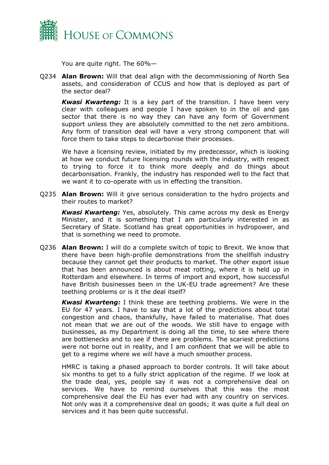

You are quite right. The 60%—

Q234 **Alan Brown:** Will that deal align with the decommissioning of North Sea assets, and consideration of CCUS and how that is deployed as part of the sector deal?

*Kwasi Kwarteng:* It is a key part of the transition. I have been very clear with colleagues and people I have spoken to in the oil and gas sector that there is no way they can have any form of Government support unless they are absolutely committed to the net zero ambitions. Any form of transition deal will have a very strong component that will force them to take steps to decarbonise their processes.

We have a licensing review, initiated by my predecessor, which is looking at how we conduct future licensing rounds with the industry, with respect to trying to force it to think more deeply and do things about decarbonisation. Frankly, the industry has responded well to the fact that we want it to co-operate with us in effecting the transition.

Q235 **Alan Brown:** Will it give serious consideration to the hydro projects and their routes to market?

*Kwasi Kwarteng:* Yes, absolutely. This came across my desk as Energy Minister, and it is something that I am particularly interested in as Secretary of State. Scotland has great opportunities in hydropower, and that is something we need to promote.

Q236 **Alan Brown:** I will do a complete switch of topic to Brexit. We know that there have been high-profile demonstrations from the shellfish industry because they cannot get their products to market. The other export issue that has been announced is about meat rotting, where it is held up in Rotterdam and elsewhere. In terms of import and export, how successful have British businesses been in the UK-EU trade agreement? Are these teething problems or is it the deal itself?

*Kwasi Kwarteng:* I think these are teething problems. We were in the EU for 47 years. I have to say that a lot of the predictions about total congestion and chaos, thankfully, have failed to materialise. That does not mean that we are out of the woods. We still have to engage with businesses, as my Department is doing all the time, to see where there are bottlenecks and to see if there are problems. The scariest predictions were not borne out in reality, and I am confident that we will be able to get to a regime where we will have a much smoother process.

HMRC is taking a phased approach to border controls. It will take about six months to get to a fully strict application of the regime. If we look at the trade deal, yes, people say it was not a comprehensive deal on services. We have to remind ourselves that this was the most comprehensive deal the EU has ever had with any country on services. Not only was it a comprehensive deal on goods; it was quite a full deal on services and it has been quite successful.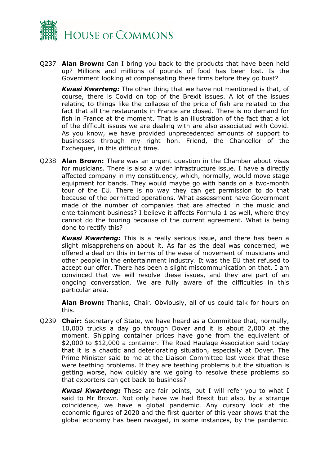

Q237 **Alan Brown:** Can I bring you back to the products that have been held up? Millions and millions of pounds of food has been lost. Is the Government looking at compensating these firms before they go bust?

*Kwasi Kwarteng:* The other thing that we have not mentioned is that, of course, there is Covid on top of the Brexit issues. A lot of the issues relating to things like the collapse of the price of fish are related to the fact that all the restaurants in France are closed. There is no demand for fish in France at the moment. That is an illustration of the fact that a lot of the difficult issues we are dealing with are also associated with Covid. As you know, we have provided unprecedented amounts of support to businesses through my right hon. Friend, the Chancellor of the Exchequer, in this difficult time.

Q238 **Alan Brown:** There was an urgent question in the Chamber about visas for musicians. There is also a wider infrastructure issue. I have a directly affected company in my constituency, which, normally, would move stage equipment for bands. They would maybe go with bands on a two-month tour of the EU. There is no way they can get permission to do that because of the permitted operations. What assessment have Government made of the number of companies that are affected in the music and entertainment business? I believe it affects Formula 1 as well, where they cannot do the touring because of the current agreement. What is being done to rectify this?

*Kwasi Kwarteng:* This is a really serious issue, and there has been a slight misapprehension about it. As far as the deal was concerned, we offered a deal on this in terms of the ease of movement of musicians and other people in the entertainment industry. It was the EU that refused to accept our offer. There has been a slight miscommunication on that. I am convinced that we will resolve these issues, and they are part of an ongoing conversation. We are fully aware of the difficulties in this particular area.

**Alan Brown:** Thanks, Chair. Obviously, all of us could talk for hours on this.

Q239 **Chair:** Secretary of State, we have heard as a Committee that, normally, 10,000 trucks a day go through Dover and it is about 2,000 at the moment. Shipping container prices have gone from the equivalent of \$2,000 to \$12,000 a container. The Road Haulage Association said today that it is a chaotic and deteriorating situation, especially at Dover. The Prime Minister said to me at the Liaison Committee last week that these were teething problems. If they are teething problems but the situation is getting worse, how quickly are we going to resolve these problems so that exporters can get back to business?

*Kwasi Kwarteng:* These are fair points, but I will refer you to what I said to Mr Brown. Not only have we had Brexit but also, by a strange coincidence, we have a global pandemic. Any cursory look at the economic figures of 2020 and the first quarter of this year shows that the global economy has been ravaged, in some instances, by the pandemic.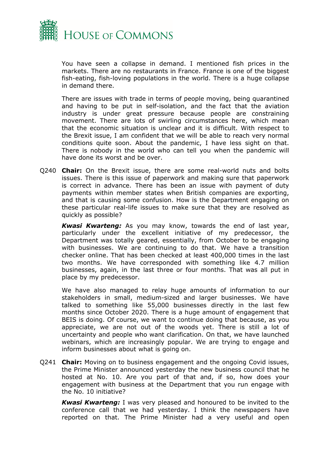

You have seen a collapse in demand. I mentioned fish prices in the markets. There are no restaurants in France. France is one of the biggest fish-eating, fish-loving populations in the world. There is a huge collapse in demand there.

There are issues with trade in terms of people moving, being quarantined and having to be put in self-isolation, and the fact that the aviation industry is under great pressure because people are constraining movement. There are lots of swirling circumstances here, which mean that the economic situation is unclear and it is difficult. With respect to the Brexit issue, I am confident that we will be able to reach very normal conditions quite soon. About the pandemic, I have less sight on that. There is nobody in the world who can tell you when the pandemic will have done its worst and be over.

Q240 **Chair:** On the Brexit issue, there are some real-world nuts and bolts issues. There is this issue of paperwork and making sure that paperwork is correct in advance. There has been an issue with payment of duty payments within member states when British companies are exporting, and that is causing some confusion. How is the Department engaging on these particular real-life issues to make sure that they are resolved as quickly as possible?

*Kwasi Kwarteng:* As you may know, towards the end of last year, particularly under the excellent initiative of my predecessor, the Department was totally geared, essentially, from October to be engaging with businesses. We are continuing to do that. We have a transition checker online. That has been checked at least 400,000 times in the last two months. We have corresponded with something like 4.7 million businesses, again, in the last three or four months. That was all put in place by my predecessor.

We have also managed to relay huge amounts of information to our stakeholders in small, medium-sized and larger businesses. We have talked to something like 55,000 businesses directly in the last few months since October 2020. There is a huge amount of engagement that BEIS is doing. Of course, we want to continue doing that because, as you appreciate, we are not out of the woods yet. There is still a lot of uncertainty and people who want clarification. On that, we have launched webinars, which are increasingly popular. We are trying to engage and inform businesses about what is going on.

Q241 **Chair:** Moving on to business engagement and the ongoing Covid issues, the Prime Minister announced yesterday the new business council that he hosted at No. 10. Are you part of that and, if so, how does your engagement with business at the Department that you run engage with the No. 10 initiative?

*Kwasi Kwarteng:* I was very pleased and honoured to be invited to the conference call that we had yesterday. I think the newspapers have reported on that. The Prime Minister had a very useful and open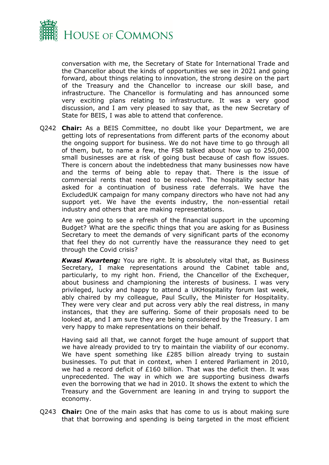

conversation with me, the Secretary of State for International Trade and the Chancellor about the kinds of opportunities we see in 2021 and going forward, about things relating to innovation, the strong desire on the part of the Treasury and the Chancellor to increase our skill base, and infrastructure. The Chancellor is formulating and has announced some very exciting plans relating to infrastructure. It was a very good discussion, and I am very pleased to say that, as the new Secretary of State for BEIS, I was able to attend that conference.

Q242 **Chair:** As a BEIS Committee, no doubt like your Department, we are getting lots of representations from different parts of the economy about the ongoing support for business. We do not have time to go through all of them, but, to name a few, the FSB talked about how up to 250,000 small businesses are at risk of going bust because of cash flow issues. There is concern about the indebtedness that many businesses now have and the terms of being able to repay that. There is the issue of commercial rents that need to be resolved. The hospitality sector has asked for a continuation of business rate deferrals. We have the ExcludedUK campaign for many company directors who have not had any support yet. We have the events industry, the non-essential retail industry and others that are making representations.

Are we going to see a refresh of the financial support in the upcoming Budget? What are the specific things that you are asking for as Business Secretary to meet the demands of very significant parts of the economy that feel they do not currently have the reassurance they need to get through the Covid crisis?

*Kwasi Kwarteng:* You are right. It is absolutely vital that, as Business Secretary, I make representations around the Cabinet table and, particularly, to my right hon. Friend, the Chancellor of the Exchequer, about business and championing the interests of business. I was very privileged, lucky and happy to attend a UKHospitality forum last week, ably chaired by my colleague, Paul Scully, the Minister for Hospitality. They were very clear and put across very ably the real distress, in many instances, that they are suffering. Some of their proposals need to be looked at, and I am sure they are being considered by the Treasury. I am very happy to make representations on their behalf.

Having said all that, we cannot forget the huge amount of support that we have already provided to try to maintain the viability of our economy. We have spent something like £285 billion already trying to sustain businesses. To put that in context, when I entered Parliament in 2010, we had a record deficit of £160 billion. That was the deficit then. It was unprecedented. The way in which we are supporting business dwarfs even the borrowing that we had in 2010. It shows the extent to which the Treasury and the Government are leaning in and trying to support the economy.

Q243 **Chair:** One of the main asks that has come to us is about making sure that that borrowing and spending is being targeted in the most efficient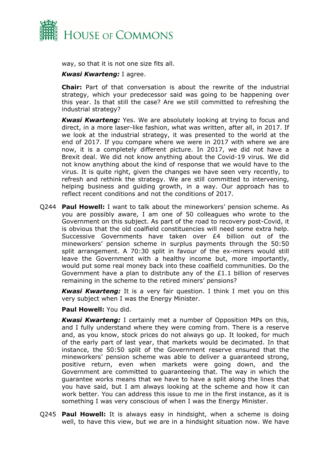

way, so that it is not one size fits all.

#### *Kwasi Kwarteng:* I agree.

**Chair:** Part of that conversation is about the rewrite of the industrial strategy, which your predecessor said was going to be happening over this year. Is that still the case? Are we still committed to refreshing the industrial strategy?

*Kwasi Kwarteng:* Yes. We are absolutely looking at trying to focus and direct, in a more laser-like fashion, what was written, after all, in 2017. If we look at the industrial strategy, it was presented to the world at the end of 2017. If you compare where we were in 2017 with where we are now, it is a completely different picture. In 2017, we did not have a Brexit deal. We did not know anything about the Covid-19 virus. We did not know anything about the kind of response that we would have to the virus. It is quite right, given the changes we have seen very recently, to refresh and rethink the strategy. We are still committed to intervening, helping business and guiding growth, in a way. Our approach has to reflect recent conditions and not the conditions of 2017.

Q244 **Paul Howell:** I want to talk about the mineworkers' pension scheme. As you are possibly aware, I am one of 50 colleagues who wrote to the Government on this subject. As part of the road to recovery post-Covid, it is obvious that the old coalfield constituencies will need some extra help. Successive Governments have taken over £4 billion out of the mineworkers' pension scheme in surplus payments through the 50:50 split arrangement. A 70:30 split in favour of the ex-miners would still leave the Government with a healthy income but, more importantly, would put some real money back into these coalfield communities. Do the Government have a plan to distribute any of the £1.1 billion of reserves remaining in the scheme to the retired miners' pensions?

*Kwasi Kwarteng:* It is a very fair question. I think I met you on this very subject when I was the Energy Minister.

#### **Paul Howell:** You did.

*Kwasi Kwarteng:* I certainly met a number of Opposition MPs on this, and I fully understand where they were coming from. There is a reserve and, as you know, stock prices do not always go up. It looked, for much of the early part of last year, that markets would be decimated. In that instance, the 50:50 split of the Government reserve ensured that the mineworkers' pension scheme was able to deliver a guaranteed strong, positive return, even when markets were going down, and the Government are committed to guaranteeing that. The way in which the guarantee works means that we have to have a split along the lines that you have said, but I am always looking at the scheme and how it can work better. You can address this issue to me in the first instance, as it is something I was very conscious of when I was the Energy Minister.

Q245 **Paul Howell:** It is always easy in hindsight, when a scheme is doing well, to have this view, but we are in a hindsight situation now. We have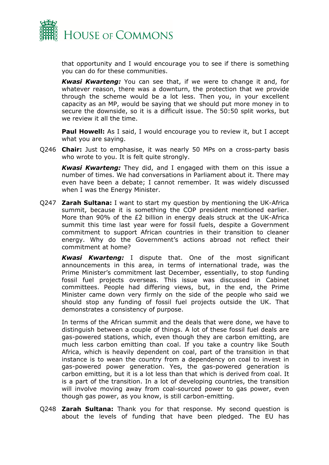

that opportunity and I would encourage you to see if there is something you can do for these communities.

*Kwasi Kwarteng:* You can see that, if we were to change it and, for whatever reason, there was a downturn, the protection that we provide through the scheme would be a lot less. Then you, in your excellent capacity as an MP, would be saying that we should put more money in to secure the downside, so it is a difficult issue. The 50:50 split works, but we review it all the time.

**Paul Howell:** As I said, I would encourage you to review it, but I accept what you are saying.

Q246 **Chair:** Just to emphasise, it was nearly 50 MPs on a cross-party basis who wrote to you. It is felt quite strongly.

*Kwasi Kwarteng:* They did, and I engaged with them on this issue a number of times. We had conversations in Parliament about it. There may even have been a debate; I cannot remember. It was widely discussed when I was the Energy Minister.

Q247 **Zarah Sultana:** I want to start my question by mentioning the UK-Africa summit, because it is something the COP president mentioned earlier. More than 90% of the £2 billion in energy deals struck at the UK-Africa summit this time last year were for fossil fuels, despite a Government commitment to support African countries in their transition to cleaner energy. Why do the Government's actions abroad not reflect their commitment at home?

*Kwasi Kwarteng:* I dispute that. One of the most significant announcements in this area, in terms of international trade, was the Prime Minister's commitment last December, essentially, to stop funding fossil fuel projects overseas. This issue was discussed in Cabinet committees. People had differing views, but, in the end, the Prime Minister came down very firmly on the side of the people who said we should stop any funding of fossil fuel projects outside the UK. That demonstrates a consistency of purpose.

In terms of the African summit and the deals that were done, we have to distinguish between a couple of things. A lot of these fossil fuel deals are gas-powered stations, which, even though they are carbon emitting, are much less carbon emitting than coal. If you take a country like South Africa, which is heavily dependent on coal, part of the transition in that instance is to wean the country from a dependency on coal to invest in gas-powered power generation. Yes, the gas-powered generation is carbon emitting, but it is a lot less than that which is derived from coal. It is a part of the transition. In a lot of developing countries, the transition will involve moving away from coal-sourced power to gas power, even though gas power, as you know, is still carbon-emitting.

Q248 **Zarah Sultana:** Thank you for that response. My second question is about the levels of funding that have been pledged. The EU has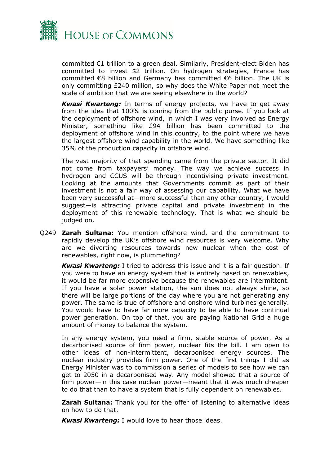

committed €1 trillion to a green deal. Similarly, President-elect Biden has committed to invest \$2 trillion. On hydrogen strategies, France has committed €8 billion and Germany has committed €6 billion. The UK is only committing £240 million, so why does the White Paper not meet the scale of ambition that we are seeing elsewhere in the world?

*Kwasi Kwarteng:* In terms of energy projects, we have to get away from the idea that 100% is coming from the public purse. If you look at the deployment of offshore wind, in which I was very involved as Energy Minister, something like £94 billion has been committed to the deployment of offshore wind in this country, to the point where we have the largest offshore wind capability in the world. We have something like 35% of the production capacity in offshore wind.

The vast majority of that spending came from the private sector. It did not come from taxpayers' money. The way we achieve success in hydrogen and CCUS will be through incentivising private investment. Looking at the amounts that Governments commit as part of their investment is not a fair way of assessing our capability. What we have been very successful at—more successful than any other country, I would suggest—is attracting private capital and private investment in the deployment of this renewable technology. That is what we should be judged on.

Q249 **Zarah Sultana:** You mention offshore wind, and the commitment to rapidly develop the UK's offshore wind resources is very welcome. Why are we diverting resources towards new nuclear when the cost of renewables, right now, is plummeting?

*Kwasi Kwarteng:* I tried to address this issue and it is a fair question. If you were to have an energy system that is entirely based on renewables, it would be far more expensive because the renewables are intermittent. If you have a solar power station, the sun does not always shine, so there will be large portions of the day where you are not generating any power. The same is true of offshore and onshore wind turbines generally. You would have to have far more capacity to be able to have continual power generation. On top of that, you are paying National Grid a huge amount of money to balance the system.

In any energy system, you need a firm, stable source of power. As a decarbonised source of firm power, nuclear fits the bill. I am open to other ideas of non-intermittent, decarbonised energy sources. The nuclear industry provides firm power. One of the first things I did as Energy Minister was to commission a series of models to see how we can get to 2050 in a decarbonised way. Any model showed that a source of firm power—in this case nuclear power—meant that it was much cheaper to do that than to have a system that is fully dependent on renewables.

**Zarah Sultana:** Thank you for the offer of listening to alternative ideas on how to do that.

*Kwasi Kwarteng:* I would love to hear those ideas.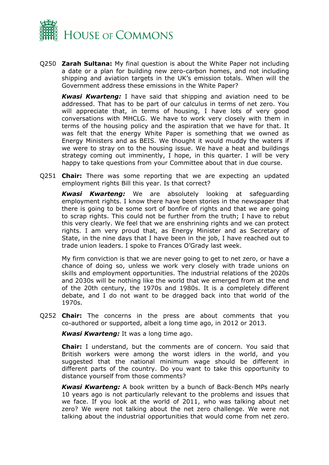

Q250 **Zarah Sultana:** My final question is about the White Paper not including a date or a plan for building new zero-carbon homes, and not including shipping and aviation targets in the UK's emission totals. When will the Government address these emissions in the White Paper?

*Kwasi Kwarteng:* I have said that shipping and aviation need to be addressed. That has to be part of our calculus in terms of net zero. You will appreciate that, in terms of housing, I have lots of very good conversations with MHCLG. We have to work very closely with them in terms of the housing policy and the aspiration that we have for that. It was felt that the energy White Paper is something that we owned as Energy Ministers and as BEIS. We thought it would muddy the waters if we were to stray on to the housing issue. We have a heat and buildings strategy coming out imminently, I hope, in this quarter. I will be very happy to take questions from your Committee about that in due course.

Q251 **Chair:** There was some reporting that we are expecting an updated employment rights Bill this year. Is that correct?

*Kwasi Kwarteng:* We are absolutely looking at safeguarding employment rights. I know there have been stories in the newspaper that there is going to be some sort of bonfire of rights and that we are going to scrap rights. This could not be further from the truth; I have to rebut this very clearly. We feel that we are enshrining rights and we can protect rights. I am very proud that, as Energy Minister and as Secretary of State, in the nine days that I have been in the job, I have reached out to trade union leaders. I spoke to Frances O'Grady last week.

My firm conviction is that we are never going to get to net zero, or have a chance of doing so, unless we work very closely with trade unions on skills and employment opportunities. The industrial relations of the 2020s and 2030s will be nothing like the world that we emerged from at the end of the 20th century, the 1970s and 1980s. It is a completely different debate, and I do not want to be dragged back into that world of the 1970s.

Q252 **Chair:** The concerns in the press are about comments that you co-authored or supported, albeit a long time ago, in 2012 or 2013.

*Kwasi Kwarteng:* It was a long time ago.

**Chair:** I understand, but the comments are of concern. You said that British workers were among the worst idlers in the world, and you suggested that the national minimum wage should be different in different parts of the country. Do you want to take this opportunity to distance yourself from those comments?

*Kwasi Kwarteng:* A book written by a bunch of Back-Bench MPs nearly 10 years ago is not particularly relevant to the problems and issues that we face. If you look at the world of 2011, who was talking about net zero? We were not talking about the net zero challenge. We were not talking about the industrial opportunities that would come from net zero.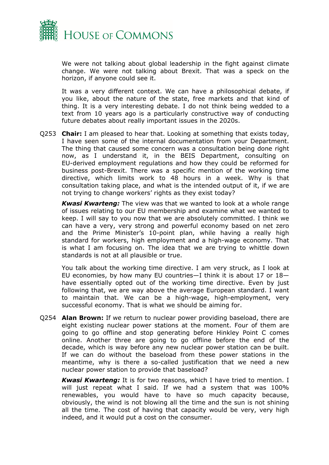

We were not talking about global leadership in the fight against climate change. We were not talking about Brexit. That was a speck on the horizon, if anyone could see it.

It was a very different context. We can have a philosophical debate, if you like, about the nature of the state, free markets and that kind of thing. It is a very interesting debate. I do not think being wedded to a text from 10 years ago is a particularly constructive way of conducting future debates about really important issues in the 2020s.

Q253 **Chair:** I am pleased to hear that. Looking at something that exists today, I have seen some of the internal documentation from your Department. The thing that caused some concern was a consultation being done right now, as I understand it, in the BEIS Department, consulting on EU-derived employment regulations and how they could be reformed for business post-Brexit. There was a specific mention of the working time directive, which limits work to 48 hours in a week. Why is that consultation taking place, and what is the intended output of it, if we are not trying to change workers' rights as they exist today?

*Kwasi Kwarteng:* The view was that we wanted to look at a whole range of issues relating to our EU membership and examine what we wanted to keep. I will say to you now that we are absolutely committed. I think we can have a very, very strong and powerful economy based on net zero and the Prime Minister's 10-point plan, while having a really high standard for workers, high employment and a high-wage economy. That is what I am focusing on. The idea that we are trying to whittle down standards is not at all plausible or true.

You talk about the working time directive. I am very struck, as I look at EU economies, by how many EU countries—I think it is about 17 or 18 have essentially opted out of the working time directive. Even by just following that, we are way above the average European standard. I want to maintain that. We can be a high-wage, high-employment, very successful economy. That is what we should be aiming for.

Q254 **Alan Brown:** If we return to nuclear power providing baseload, there are eight existing nuclear power stations at the moment. Four of them are going to go offline and stop generating before Hinkley Point C comes online. Another three are going to go offline before the end of the decade, which is way before any new nuclear power station can be built. If we can do without the baseload from these power stations in the meantime, why is there a so-called justification that we need a new nuclear power station to provide that baseload?

*Kwasi Kwarteng:* It is for two reasons, which I have tried to mention. I will just repeat what I said. If we had a system that was 100% renewables, you would have to have so much capacity because, obviously, the wind is not blowing all the time and the sun is not shining all the time. The cost of having that capacity would be very, very high indeed, and it would put a cost on the consumer.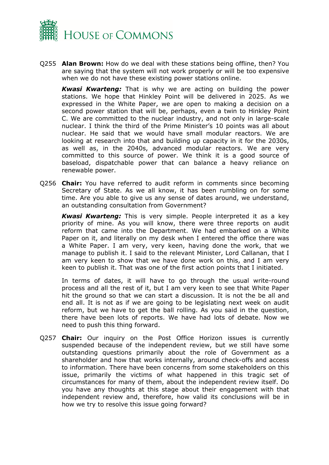

Q255 **Alan Brown:** How do we deal with these stations being offline, then? You are saying that the system will not work properly or will be too expensive when we do not have these existing power stations online.

*Kwasi Kwarteng:* That is why we are acting on building the power stations. We hope that Hinkley Point will be delivered in 2025. As we expressed in the White Paper, we are open to making a decision on a second power station that will be, perhaps, even a twin to Hinkley Point C. We are committed to the nuclear industry, and not only in large-scale nuclear. I think the third of the Prime Minister's 10 points was all about nuclear. He said that we would have small modular reactors. We are looking at research into that and building up capacity in it for the 2030s, as well as, in the 2040s, advanced modular reactors. We are very committed to this source of power. We think it is a good source of baseload, dispatchable power that can balance a heavy reliance on renewable power.

Q256 **Chair:** You have referred to audit reform in comments since becoming Secretary of State. As we all know, it has been rumbling on for some time. Are you able to give us any sense of dates around, we understand, an outstanding consultation from Government?

*Kwasi Kwarteng:* This is very simple. People interpreted it as a key priority of mine. As you will know, there were three reports on audit reform that came into the Department. We had embarked on a White Paper on it, and literally on my desk when I entered the office there was a White Paper. I am very, very keen, having done the work, that we manage to publish it. I said to the relevant Minister, Lord Callanan, that I am very keen to show that we have done work on this, and I am very keen to publish it. That was one of the first action points that I initiated.

In terms of dates, it will have to go through the usual write-round process and all the rest of it, but I am very keen to see that White Paper hit the ground so that we can start a discussion. It is not the be all and end all. It is not as if we are going to be legislating next week on audit reform, but we have to get the ball rolling. As you said in the question, there have been lots of reports. We have had lots of debate. Now we need to push this thing forward.

Q257 **Chair:** Our inquiry on the Post Office Horizon issues is currently suspended because of the independent review, but we still have some outstanding questions primarily about the role of Government as a shareholder and how that works internally, around check-offs and access to information. There have been concerns from some stakeholders on this issue, primarily the victims of what happened in this tragic set of circumstances for many of them, about the independent review itself. Do you have any thoughts at this stage about their engagement with that independent review and, therefore, how valid its conclusions will be in how we try to resolve this issue going forward?